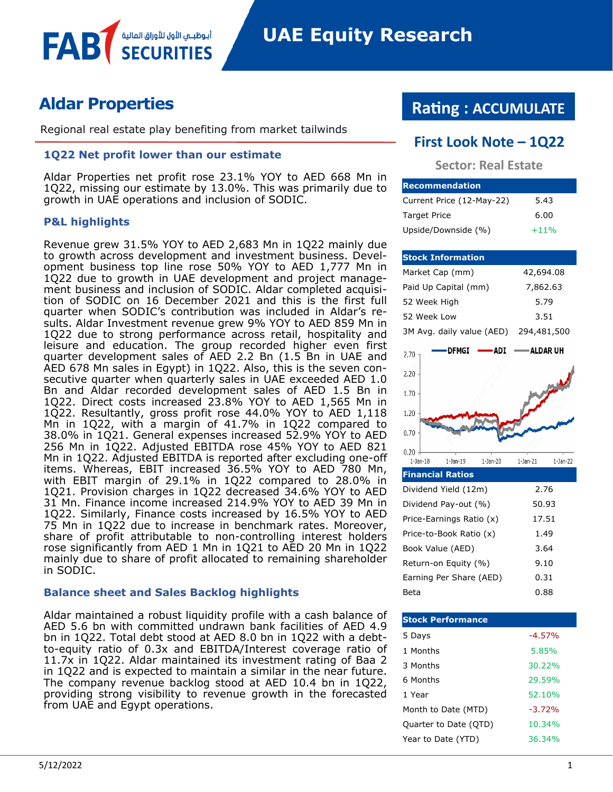# **Aldar Properties**

**FAB** 

Regional real estate play benefiting from market tailwinds

## **1Q22 Net profit lower than our estimate**

أبوظبــمي الأول للأوراق المالية

Aldar Properties net profit rose 23.1% YOY to AED 668 Mn in 1Q22, missing our estimate by 13.0%. This was primarily due to growth in UAE operations and inclusion of SODIC.

## **P&L highlights**

Revenue grew 31.5% YOY to AED 2,683 Mn in 1Q22 mainly due to growth across development and investment business. Development business top line rose 50% YOY to AED 1,777 Mn in 1Q22 due to growth in UAE development and project management business and inclusion of SODIC. Aldar completed acquisition of SODIC on 16 December 2021 and this is the first full quarter when SODIC's contribution was included in Aldar's results. Aldar Investment revenue grew 9% YOY to AED 859 Mn in 1Q22 due to strong performance across retail, hospitality and leisure and education. The group recorded higher even first quarter development sales of AED 2.2 Bn (1.5 Bn in UAE and AED 678 Mn sales in Egypt) in 1Q22. Also, this is the seven consecutive quarter when quarterly sales in UAE exceeded AED 1.0 Bn and Aldar recorded development sales of AED 1.5 Bn in 1Q22. Direct costs increased 23.8% YOY to AED 1,565 Mn in 1Q22. Resultantly, gross profit rose 44.0% YOY to AED 1,118 Mn in 1Q22, with a margin of 41.7% in 1Q22 compared to 38.0% in 1Q21. General expenses increased 52.9% YOY to AED 256 Mn in 1Q22. Adjusted EBITDA rose 45% YOY to AED 821 Mn in 1Q22. Adjusted EBITDA is reported after excluding one-off items. Whereas, EBIT increased 36.5% YOY to AED 780 Mn, with EBIT margin of 29.1% in 1Q22 compared to 28.0% in 1Q21. Provision charges in 1Q22 decreased 34.6% YOY to AED 31 Mn. Finance income increased 214.9% YOY to AED 39 Mn in 1Q22. Similarly, Finance costs increased by 16.5% YOY to AED 75 Mn in 1Q22 due to increase in benchmark rates. Moreover, share of profit attributable to non-controlling interest holders rose significantly from AED 1 Mn in 1Q21 to AED 20 Mn in 1Q22 mainly due to share of profit allocated to remaining shareholder in SODIC.

## **Balance sheet and Sales Backlog highlights**

Aldar maintained a robust liquidity profile with a cash balance of AED 5.6 bn with committed undrawn bank facilities of AED 4.9 bn in 1Q22. Total debt stood at AED 8.0 bn in 1Q22 with a debtto-equity ratio of 0.3x and EBITDA/Interest coverage ratio of 11.7x in 1Q22. Aldar maintained its investment rating of Baa 2 in 1Q22 and is expected to maintain a similar in the near future. The company revenue backlog stood at AED 10.4 bn in 1Q22, providing strong visibility to revenue growth in the forecasted from UAE and Egypt operations.

# **Rating : ACCUMULATE**

# **First Look Note – 1Q22**

**Sector: Real Estate**

| <b>Recommendation</b>     |        |
|---------------------------|--------|
| Current Price (12-May-22) | 5.43   |
| <b>Target Price</b>       | 6.00   |
| Upside/Downside (%)       | $+11%$ |

| <b>Stock Information</b>                               |                           |
|--------------------------------------------------------|---------------------------|
| Market Cap (mm)                                        | 42,694.08                 |
| Paid Up Capital (mm)                                   | 7,862.63                  |
| 52 Week High                                           | 5.79                      |
| 52 Week Low                                            | 3.51                      |
| 3M Avg. daily value (AED)                              | 294,481,500               |
| <b>DFMGI</b><br><b>ADI</b><br>2.70                     | — ALDAR UH                |
| 2.20                                                   |                           |
|                                                        |                           |
| 1.70                                                   |                           |
| 1.20                                                   |                           |
| 0.70                                                   |                           |
| 0.20<br>$1$ -Jan- $18$<br>$1-Jan-20$<br>$1$ -Jan- $19$ | $1-Jan-22$<br>$1$ -Jan-21 |
| <b>Financial Ratios</b>                                |                           |
| Dividend Yield (12m)                                   | 2.76                      |
| Dividend Pay-out (%)                                   | 50.93                     |
| Price-Earnings Ratio (x)                               | 17.51                     |
| Price-to-Book Ratio (x)                                | 1.49                      |
| Book Value (AED)                                       | 3.64                      |
| Return-on Equity (%)                                   | 9.10                      |

| <b>Stock Performance</b> |          |
|--------------------------|----------|
| 5 Days                   | $-4.57%$ |
| 1 Months                 | 5.85%    |
| 3 Months                 | 30.22%   |
| 6 Months                 | 29.59%   |
| 1 Year                   | 52.10%   |
| Month to Date (MTD)      | $-3.72%$ |
| Quarter to Date (QTD)    | 10.34%   |
| Year to Date (YTD)       | 36.34%   |

Beta 0.88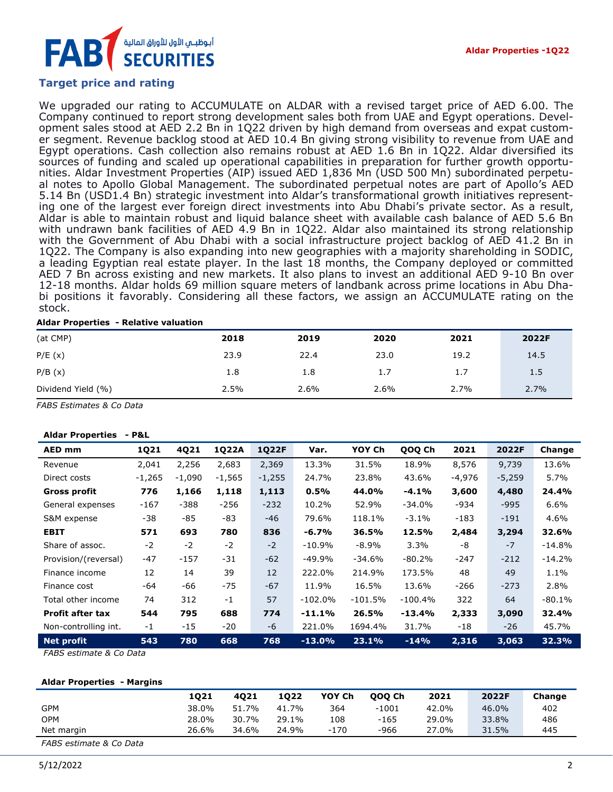# أبوظبــي الأول للأوراق الماليذ

# **Target price and rating**

We upgraded our rating to ACCUMULATE on ALDAR with a revised target price of AED 6.00. The Company continued to report strong development sales both from UAE and Egypt operations. Development sales stood at AED 2.2 Bn in 1Q22 driven by high demand from overseas and expat customer segment. Revenue backlog stood at AED 10.4 Bn giving strong visibility to revenue from UAE and Egypt operations. Cash collection also remains robust at AED 1.6 Bn in 1Q22. Aldar diversified its sources of funding and scaled up operational capabilities in preparation for further growth opportunities. Aldar Investment Properties (AIP) issued AED 1,836 Mn (USD 500 Mn) subordinated perpetual notes to Apollo Global Management. The subordinated perpetual notes are part of Apollo's AED 5.14 Bn (USD1.4 Bn) strategic investment into Aldar's transformational growth initiatives representing one of the largest ever foreign direct investments into Abu Dhabi's private sector. As a result, Aldar is able to maintain robust and liquid balance sheet with available cash balance of AED 5.6 Bn with undrawn bank facilities of AED 4.9 Bn in 1Q22. Aldar also maintained its strong relationship with the Government of Abu Dhabi with a social infrastructure project backlog of AED 41.2 Bn in 1Q22. The Company is also expanding into new geographies with a majority shareholding in SODIC, a leading Egyptian real estate player. In the last 18 months, the Company deployed or committed AED 7 Bn across existing and new markets. It also plans to invest an additional AED 9-10 Bn over 12-18 months. Aldar holds 69 million square meters of landbank across prime locations in Abu Dhabi positions it favorably. Considering all these factors, we assign an ACCUMULATE rating on the stock.

#### **Aldar Properties - Relative valuation**

| (at CMP)           | 2018 | 2019 | 2020 | 2021 | 2022F |
|--------------------|------|------|------|------|-------|
| P/E(x)             | 23.9 | 22.4 | 23.0 | 19.2 | 14.5  |
| P/B(x)             | 1.8  | 1.8  | 1.7  | 1.7  | 1.5   |
| Dividend Yield (%) | 2.5% | 2.6% | 2.6% | 2.7% | 2.7%  |

*FABS Estimates & Co Data*

#### **Aldar Properties - P&L**

| AED mm                  | 1Q21     | 4Q21   | 1Q22A    | <b>1Q22F</b> | Var.      | YOY Ch    | QOQ Ch    | 2021   | 2022F    | Change   |
|-------------------------|----------|--------|----------|--------------|-----------|-----------|-----------|--------|----------|----------|
| Revenue                 | 2,041    | 2,256  | 2,683    | 2,369        | 13.3%     | 31.5%     | 18.9%     | 8,576  | 9,739    | 13.6%    |
| Direct costs            | $-1,265$ | -1,090 | $-1,565$ | $-1,255$     | 24.7%     | 23.8%     | 43.6%     | -4,976 | $-5,259$ | 5.7%     |
| <b>Gross profit</b>     | 776      | 1,166  | 1,118    | 1,113        | 0.5%      | 44.0%     | $-4.1%$   | 3,600  | 4,480    | 24.4%    |
| General expenses        | -167     | $-388$ | $-256$   | $-232$       | 10.2%     | 52.9%     | $-34.0%$  | -934   | -995     | 6.6%     |
| S&M expense             | $-38$    | -85    | -83      | $-46$        | 79.6%     | 118.1%    | $-3.1%$   | -183   | $-191$   | 4.6%     |
| <b>EBIT</b>             | 571      | 693    | 780      | 836          | $-6.7%$   | 36.5%     | 12.5%     | 2,484  | 3,294    | 32.6%    |
| Share of assoc.         | $-2$     | $-2$   | -2       | $-2$         | -10.9%    | -8.9%     | 3.3%      | -8     | $-7$     | -14.8%   |
| Provision/(reversal)    | $-47$    | $-157$ | -31      | $-62$        | $-49.9%$  | -34.6%    | -80.2%    | $-247$ | $-212$   | $-14.2%$ |
| Finance income          | 12       | 14     | 39       | 12           | 222.0%    | 214.9%    | 173.5%    | 48     | 49       | 1.1%     |
| Finance cost            | -64      | -66    | $-75$    | $-67$        | 11.9%     | 16.5%     | 13.6%     | $-266$ | $-273$   | 2.8%     |
| Total other income      | 74       | 312    | $-1$     | 57           | $-102.0%$ | $-101.5%$ | $-100.4%$ | 322    | 64       | $-80.1%$ |
| <b>Profit after tax</b> | 544      | 795    | 688      | 774          | $-11.1%$  | 26.5%     | $-13.4%$  | 2,333  | 3,090    | 32.4%    |
| Non-controlling int.    | $-1$     | $-15$  | -20      | -6           | 221.0%    | 1694.4%   | 31.7%     | -18    | -26      | 45.7%    |
| <b>Net profit</b>       | 543      | 780    | 668      | 768          | $-13.0%$  | 23.1%     | $-14%$    | 2,316  | 3,063    | 32.3%    |

*FABS estimate & Co Data*

#### **Aldar Properties - Margins**

|                        | 1021  | 4021  | 1022  | YOY Ch | 000 Ch  | 2021  | 2022F | Change |
|------------------------|-------|-------|-------|--------|---------|-------|-------|--------|
| <b>GPM</b>             | 38.0% | 51.7% | 41.7% | 364    | $-1001$ | 42.0% | 46.0% | 402    |
| <b>OPM</b>             | 28.0% | 30.7% | 29.1% | 108    | $-165$  | 29.0% | 33.8% | 486    |
| Net margin             | 26.6% | 34.6% | 24.9% | $-170$ | -966    | 27.0% | 31.5% | 445    |
| $FABC = H(x) = Lx + Q$ |       |       |       |        |         |       |       |        |

*FABS estimate & Co Data*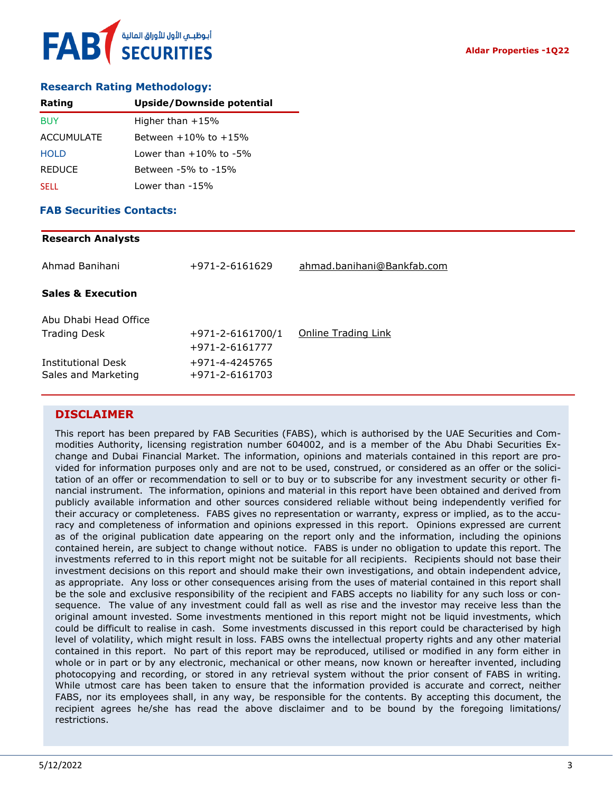### **Research Rating Methodology:**

| Rating        | <b>Upside/Downside potential</b> |
|---------------|----------------------------------|
| <b>BUY</b>    | Higher than $+15%$               |
| ACCUMULATE    | Between $+10\%$ to $+15\%$       |
| <b>HOLD</b>   | Lower than $+10\%$ to $-5\%$     |
| <b>REDUCE</b> | Between -5% to -15%              |
| <b>SELL</b>   | Lower than -15%                  |

#### **FAB Securities Contacts:**

# **Research Analysts** Ahmad Banihani +971-2-6161629 [ahmad.banihani@Bankfab.com](mailto:ahmad.banihani@Bankfab.com) **Sales & Execution** Abu Dhabi Head Office Trading Desk  $+971-2-6161700/1$  [Online Trading Link](http://www.nbad.com/countries/en-ae/Brokerage/WhatWeOffer/Pages/OnlineTrading.aspx) +971-2-6161777 Institutional Desk +971-4-4245765 Sales and Marketing +971-2-6161703

## **DISCLAIMER**

This report has been prepared by FAB Securities (FABS), which is authorised by the UAE Securities and Commodities Authority, licensing registration number 604002, and is a member of the Abu Dhabi Securities Exchange and Dubai Financial Market. The information, opinions and materials contained in this report are provided for information purposes only and are not to be used, construed, or considered as an offer or the solicitation of an offer or recommendation to sell or to buy or to subscribe for any investment security or other financial instrument. The information, opinions and material in this report have been obtained and derived from publicly available information and other sources considered reliable without being independently verified for their accuracy or completeness. FABS gives no representation or warranty, express or implied, as to the accuracy and completeness of information and opinions expressed in this report. Opinions expressed are current as of the original publication date appearing on the report only and the information, including the opinions contained herein, are subject to change without notice. FABS is under no obligation to update this report. The investments referred to in this report might not be suitable for all recipients. Recipients should not base their investment decisions on this report and should make their own investigations, and obtain independent advice, as appropriate. Any loss or other consequences arising from the uses of material contained in this report shall be the sole and exclusive responsibility of the recipient and FABS accepts no liability for any such loss or consequence. The value of any investment could fall as well as rise and the investor may receive less than the original amount invested. Some investments mentioned in this report might not be liquid investments, which could be difficult to realise in cash. Some investments discussed in this report could be characterised by high level of volatility, which might result in loss. FABS owns the intellectual property rights and any other material contained in this report. No part of this report may be reproduced, utilised or modified in any form either in whole or in part or by any electronic, mechanical or other means, now known or hereafter invented, including photocopying and recording, or stored in any retrieval system without the prior consent of FABS in writing. While utmost care has been taken to ensure that the information provided is accurate and correct, neither FABS, nor its employees shall, in any way, be responsible for the contents. By accepting this document, the recipient agrees he/she has read the above disclaimer and to be bound by the foregoing limitations/ restrictions.